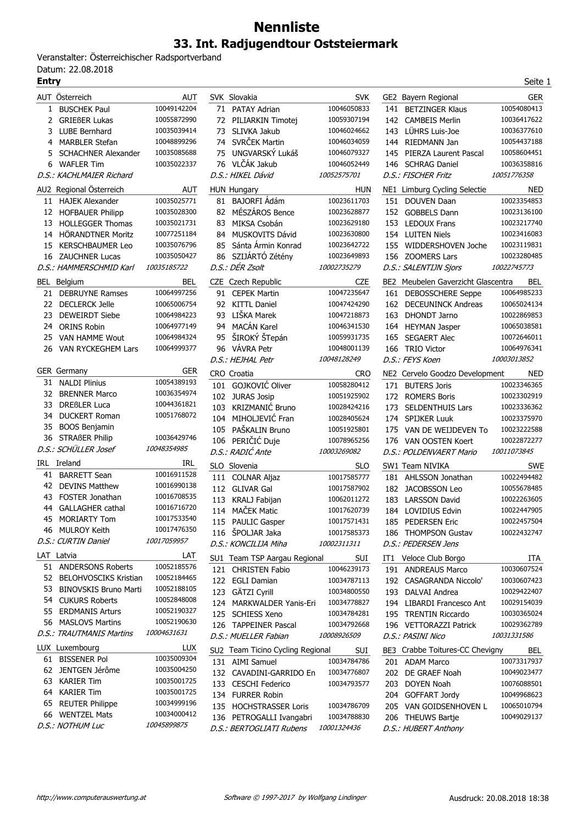## **Nennliste 33. Int. Radjugendtour Oststeiermark**

Veranstalter: Österreichischer Radsportverband Datum: 22.08.2018<br>**Entry** 

|     | AUT Österreich             | <b>AUT</b>  |     | SVK Slovakia                     | <b>SVK</b>  |
|-----|----------------------------|-------------|-----|----------------------------------|-------------|
|     | 1 BUSCHEK Paul             | 10049142204 |     | 71 PATAY Adrian                  | 10046050833 |
|     | 2 GRIEßER Lukas            | 10055872990 |     | 72 PILIARKIN Timotei             | 10059307194 |
|     | 3 LUBE Bernhard            | 10035039414 |     | 73 SLIVKA Jakub                  | 10046024662 |
|     | 4 MARBLER Stefan           | 10048899296 |     | 74 SVRČEK Martin                 | 10046034059 |
| 5   | <b>SCHACHNER Alexander</b> | 10035085688 |     | 75 UNGVARSKÝ Lukáš               | 10046079327 |
| 6.  | <b>WAFLER Tim</b>          | 10035022337 |     | 76 VLČÁK Jakub                   | 10046052449 |
|     | D.S.: KACHLMAIER Richard   |             |     | D.S.: HIKEL Dávid                | 10052575701 |
|     | AU2 Regional Österreich    | AUT         |     | HUN Hungary                      | HUN         |
|     | 11 HAJEK Alexander         | 10035025771 | 81  | BAJORFI Ádám                     | 10023611703 |
|     | 12 HOFBAUER Philipp        | 10035028300 | 82  | MÉSZÁROS Bence                   | 10023628877 |
| 13  | <b>HOLLEGGER Thomas</b>    | 10035021731 | 83  | MIKSA Csobán                     | 10023629180 |
|     | 14 HÖRANDTNER Moritz       | 10077251184 |     | 84 MUSKOVITS Dávid               | 10023630800 |
|     | 15 KERSCHBAUMER Leo        | 10035076796 |     | 85 Sánta Ármin Konrad            | 10023642722 |
|     | 16 ZAUCHNER Lucas          | 10035050427 |     | 86 SZIJÁRTÓ Zétény               | 10023649893 |
|     | D.S.: HAMMERSCHMID Karl    | 10035185722 |     | D.S.: DÉR Zsolt                  | 10002735279 |
|     | BEL Belgium                | BEL         |     | CZE Czech Republic               | <b>CZE</b>  |
| 21  | <b>DEBRUYNE Ramses</b>     | 10064997256 |     | 91 CEPEK Martin                  | 10047235647 |
|     | 22 DECLERCK Jelle          | 10065006754 |     | 92 KITTL Daniel                  | 10047424290 |
|     | 23 DEWEIRDT Siebe          | 10064984223 |     | 93 LIŠKA Marek                   | 10047218873 |
|     | 24 ORINS Robin             | 10064977149 |     | 94 MACÁN Karel                   | 10046341530 |
|     | 25 VAN HAMME Wout          | 10064984324 |     | 95 ŠIROKÝ ŠTepán                 | 10059931735 |
|     | 26 VAN RYCKEGHEM Lars      | 10064999377 |     | 96 VÁVRA Petr                    | 10048001139 |
|     |                            |             |     | D.S.: HEJHAL Petr                | 10048128249 |
|     | <b>GER</b> Germany         | <b>GER</b>  |     | CRO Croatia                      | <b>CRO</b>  |
|     | 31 NALDI Plinius           | 10054389193 |     | 101 GOJKOVIĆ Oliver              | 10058280412 |
| 32  | <b>BRENNER Marco</b>       | 10036354974 |     | 102 JURAS Josip                  | 10051925902 |
| 33  | <b>DREBLER Luca</b>        | 10044361821 |     | 103 KRIZMANIĆ Bruno              | 10028424216 |
|     | 34 DUCKERT Roman           | 10051768072 |     | 104 MIHOLJEVIĆ Fran              | 10028405624 |
|     | 35 BOOS Benjamin           |             | 105 | PAŠKALIN Bruno                   | 10051925801 |
|     | 36 STRABER Philip          | 10036429746 | 106 | PERIČIĆ Duje                     | 10078965256 |
|     | D.S.: SCHÜLLER Josef       | 10048354985 |     | D.S.: RADIĆ Ante                 | 10003269082 |
| IRL | Ireland                    | IRL         |     | SLO Slovenia                     | <b>SLO</b>  |
|     | 41 BARRETT Sean            | 10016911528 |     | 111 COLNAR Aljaz                 | 10017585777 |
|     | 42 DEVINS Matthew          | 10016990138 |     | 112 GLIVAR Gal                   | 10017587902 |
|     | 43 FOSTER Jonathan         | 10016708535 |     | 113 KRALJ Fabijan                | 10062011272 |
| 44  | <b>GALLAGHER cathal</b>    | 10016716720 | 114 | MAČEK Matic                      | 10017620739 |
| 45  | <b>MORIARTY Tom</b>        | 10017533540 |     | 115 PAULIC Gasper                | 10017571431 |
|     | 46 MULROY Keith            | 10017476350 |     | 116 ŠPOLJAR Jaka                 | 10017585373 |
|     | D.S.: CURTIN Daniel        | 10017059957 |     | D.S.: KONCILIJA Miha             | 10002311311 |
|     | LAT Latvia                 | LAT         |     | SU1 Team TSP Aargau Regional     | SUI         |
|     | 51 ANDERSONS Roberts       | 10052185576 |     | 121 CHRISTEN Fabio               | 10046239173 |
|     | 52 BELOHVOSCIKS Kristian   | 10052184465 |     | 122 EGLI Damian                  | 10034787113 |
|     | 53 BINOVSKIS Bruno Marti   | 10052188105 |     | 123 GÄTZI Cyrill                 | 10034800550 |
|     | 54 CUKURS Roberts          | 10052848008 |     | 124 MARKWALDER Yanis-Eri         | 10034778827 |
|     | 55 ERDMANIS Arturs         | 10052190327 |     | 125 SCHIESS Xeno                 | 10034784281 |
|     | 56 MASLOVS Martins         | 10052190630 |     | 126 TAPPEINER Pascal             | 10034792668 |
|     | D.S.: TRAUTMANIS Martins   | 10004631631 |     | D.S.: MUELLER Fabian             | 10008926509 |
|     | LUX Luxembourg             | <b>LUX</b>  |     | SU2 Team Ticino Cycling Regional | SUI         |
|     | 61 BISSENER Pol            | 10035009304 |     | 131 AIMI Samuel                  | 10034784786 |
|     | 62 JENTGEN Jérôme          | 10035004250 |     | 132 CAVADINI-GARRIDO En          | 10034776807 |
|     | 63 KARIER Tim              | 10035001725 |     | 133 CESCHI Federico              | 10034793577 |
|     | 64 KARIER Tim              | 10035001725 |     | 134 FURRER Robin                 |             |
|     | 65 REUTER Philippe         | 10034999196 |     | 135 HOCHSTRASSER Loris           | 10034786709 |
|     | 66 WENTZEL Mats            | 10034000412 |     | 136 PETROGALLI Ivangabri         | 10034788830 |
|     | D.S.: NOTHUM Luc           | 10045899875 |     |                                  | 10001324436 |
|     |                            |             |     | D.S.: BERTOGLIATI Rubens         |             |

| Entry    |                                                 |                            |     |                                              |                            |     |                                             | Seite 1                    |  |
|----------|-------------------------------------------------|----------------------------|-----|----------------------------------------------|----------------------------|-----|---------------------------------------------|----------------------------|--|
|          | AUT Österreich                                  | AUT                        |     | SVK Slovakia                                 | <b>SVK</b>                 |     | GE2 Bayern Regional                         | <b>GER</b>                 |  |
| 1        | <b>BUSCHEK Paul</b>                             | 10049142204                |     | 71 PATAY Adrian                              | 10046050833                |     | 141 BETZINGER Klaus                         | 10054080413                |  |
| 2        | <b>GRIEßER Lukas</b>                            | 10055872990                | 72  | PILIARKIN Timotej                            | 10059307194                |     | 142 CAMBEIS Merlin                          | 10036417622                |  |
| 3        | LUBE Bernhard                                   | 10035039414                | 73  | SLIVKA Jakub                                 | 10046024662                |     | 143 LÜHRS Luis-Joe                          | 10036377610                |  |
| 4        | <b>MARBLER Stefan</b>                           | 10048899296                | 74  | SVRČEK Martin                                | 10046034059                | 144 | RIEDMANN Jan                                | 10054437188                |  |
| 5        | <b>SCHACHNER Alexander</b>                      | 10035085688                | 75  | UNGVARSKÝ Lukáš                              | 10046079327                |     | 145 PIERZA Laurent Pascal                   | 10058604451                |  |
| 6        | <b>WAFLER Tim</b>                               | 10035022337                |     | 76 VLČÁK Jakub                               | 10046052449                |     | 146 SCHRAG Daniel                           | 10036358816                |  |
|          | D.S.: KACHLMAIER Richard                        |                            |     | D.S.: HIKEL Dávid                            | 10052575701                |     | D.S.: FISCHER Fritz                         | <i>10051776358</i>         |  |
|          | AU2 Regional Österreich                         | <b>AUT</b>                 |     | <b>HUN Hungary</b>                           | HUN                        |     | NE1 Limburg Cycling Selectie                | <b>NED</b>                 |  |
|          | 11 HAJEK Alexander                              | 10035025771                |     | 81 BAJORFI Ádám                              | 10023611703                |     | 151 DOUVEN Daan                             | 10023354853                |  |
|          | 12 HOFBAUER Philipp                             | 10035028300                | 82  | MÉSZÁROS Bence                               | 10023628877                |     | 152 GOBBELS Dann                            | 10023136100                |  |
| 13       | <b>HOLLEGGER Thomas</b>                         | 10035021731                | 83  | MIKSA Csobán                                 | 10023629180                | 153 | <b>LEDOUX Frans</b>                         | 10023217740                |  |
| 14       | <b>HORANDTNER Moritz</b>                        | 10077251184                | 84  | MUSKOVITS Dávid                              | 10023630800                |     | 154 LUITEN Niels                            | 10023416083                |  |
| 15       | <b>KERSCHBAUMER Leo</b>                         | 10035076796                | 85  | Sánta Ármin Konrad                           | 10023642722                |     | 155 WIDDERSHOVEN Joche                      | 10023119831                |  |
| 16       | <b>ZAUCHNER Lucas</b>                           | 10035050427                |     | 86 SZIJÁRTÓ Zétény                           | 10023649893                |     | 156 ZOOMERS Lars                            | 10023280485                |  |
|          | D.S.: HAMMERSCHMID Karl                         | 10035185722                |     | D.S.: DÉR Zsolt                              | 10002735279                |     | D.S.: SALENTIJN Sjors                       | 10022745773                |  |
|          | <b>BEL Belgium</b>                              | <b>BEL</b>                 |     | CZE Czech Republic                           | CZE                        |     | BE2 Meubelen Gaverzicht Glascentra          | BEL                        |  |
| 21       | <b>DEBRUYNE Ramses</b>                          | 10064997256                |     | 91 CEPEK Martin                              | 10047235647                |     | 161 DEBOSSCHERE Seppe                       | 10064985233                |  |
| 22       | <b>DECLERCK Jelle</b>                           | 10065006754                |     | 92 KITTL Daniel                              | 10047424290                |     | 162 DECEUNINCK Andreas                      | 10065024134                |  |
| 23       | <b>DEWEIRDT Siebe</b>                           | 10064984223                | 93  | LIŠKA Marek                                  | 10047218873                | 163 | DHONDT Jarno                                | 10022869853                |  |
| 24       | <b>ORINS Robin</b>                              | 10064977149                | 94  | MACÁN Karel                                  | 10046341530                |     | 164 HEYMAN Jasper                           | 10065038581                |  |
| 25       | VAN HAMME Wout                                  | 10064984324                | 95  | ŠIROKÝ ŠTepán                                | 10059931735                | 165 | <b>SEGAERT Alec</b>                         | 10072646011                |  |
| 26       | VAN RYCKEGHEM Lars                              | 10064999377                |     | 96 VÁVRA Petr                                | 10048001139                | 166 | <b>TRIO Victor</b>                          | 10064976341                |  |
|          |                                                 |                            |     | D.S.: HEJHAL Petr                            | 10048128249                |     | D.S.: FEYS Koen                             | 10003013852                |  |
|          | GER Germany                                     | <b>GER</b>                 |     | CRO Croatia                                  | <b>CRO</b>                 |     | NE2 Cervelo Goodzo Development              | <b>NED</b>                 |  |
| 31       | <b>NALDI Plinius</b>                            | 10054389193                |     | 101 GOJKOVIĆ Oliver                          | 10058280412                |     | 171 BUTERS Joris                            | 10023346365                |  |
| 32       | <b>BRENNER Marco</b><br><b>DREBLER Luca</b>     | 10036354974<br>10044361821 |     | 102 JURAS Josip                              | 10051925902                | 172 | <b>ROMERS Boris</b>                         | 10023302919                |  |
| 33<br>34 | <b>DUCKERT Roman</b>                            | 10051768072                | 103 | KRIZMANIĆ Bruno                              | 10028424216                |     | 173 SELDENTHUIS Lars                        | 10023336362                |  |
| 35       | <b>BOOS Benjamin</b>                            |                            | 104 | MIHOLJEVIĆ Fran                              | 10028405624                |     | 174 SPIJKER Luuk                            | 10023375970                |  |
| 36       | <b>STRABER Philip</b>                           | 10036429746                |     | 105 PAŠKALIN Bruno                           | 10051925801                | 175 | VAN DE WEIJDEVEN To                         | 10023222588                |  |
|          | D.S.: SCHÜLLER Josef                            | 10048354985                | 106 | PERIČIĆ Duje                                 | 10078965256                |     | 176 VAN OOSTEN Koert                        | 10022872277                |  |
|          |                                                 |                            |     | D.S.: RADIĆ Ante                             | 10003269082                |     | D.S.: POLDENVAERT Mario                     | 10011073845                |  |
|          | IRL Ireland                                     | IRL                        |     | SLO Slovenia                                 | <b>SLO</b>                 |     | SW1 Team NIVIKA                             | <b>SWE</b>                 |  |
| 41       | <b>BARRETT Sean</b>                             | 10016911528                |     | 111 COLNAR Aljaz                             | 10017585777                |     | 181 AHLSSON Jonathan                        | 10022494482                |  |
| 42       | <b>DEVINS Matthew</b><br><b>FOSTER Jonathan</b> | 10016990138<br>10016708535 |     | 112 GLIVAR Gal                               | 10017587902                |     | 182 JACOBSSON Leo                           | 10055678485                |  |
| 43<br>44 | <b>GALLAGHER cathal</b>                         | 10016716720                | 113 | KRALJ Fabijan                                | 10062011272                | 183 | <b>LARSSON David</b>                        | 10022263605                |  |
| 45       | <b>MORIARTY Tom</b>                             | 10017533540                |     | 114 MAČEK Matic                              | 10017620739                | 184 | <b>LOVIDIUS Edvin</b>                       | 10022447905                |  |
|          | 46 MULROY Keith                                 | 10017476350                |     | 115 PAULIC Gasper                            | 10017571431                |     | 185 PEDERSEN Eric                           | 10022457504                |  |
|          | D.S.: CURTIN Daniel                             | 10017059957                |     | 116 ŠPOLJAR Jaka                             | 10017585373                |     | 186 THOMPSON Gustav                         | 10022432747                |  |
|          |                                                 |                            |     | D.S.: KONCILIJA Miha                         | 10002311311                |     | D.S.: PEDERSEN Jens                         |                            |  |
|          | LAT Latvia<br>51 ANDERSONS Roberts              | LAT<br>10052185576         |     | SU1 Team TSP Aargau Regional                 | SUI                        |     | IT1 Veloce Club Borgo                       | ITA                        |  |
|          | 52 BELOHVOSCIKS Kristian                        | 10052184465                |     | 121 CHRISTEN Fabio                           | 10046239173                |     | 191 ANDREAUS Marco                          | 10030607524                |  |
| 53       | <b>BINOVSKIS Bruno Marti</b>                    | 10052188105                |     | 122 EGLI Damian                              | 10034787113                |     | 192 CASAGRANDA Niccolo'                     | 10030607423                |  |
| 54       | <b>CUKURS Roberts</b>                           | 10052848008                |     | 123 GÄTZI Cyrill                             | 10034800550                |     | 193 DALVAI Andrea                           | 10029422407                |  |
| 55       | <b>ERDMANIS Arturs</b>                          | 10052190327                |     | 124 MARKWALDER Yanis-Eri                     | 10034778827                |     | 194 LIBARDI Francesco Ant                   | 10029154039                |  |
| 56       | <b>MASLOVS Martins</b>                          | 10052190630                |     | 125 SCHIESS Xeno                             | 10034784281                |     | 195 TRENTIN Riccardo                        | 10030365024                |  |
|          | D.S.: TRAUTMANIS Martins                        | 10004631631                |     | 126 TAPPEINER Pascal<br>D.S.: MUELLER Fabian | 10034792668<br>10008926509 |     | 196 VETTORAZZI Patrick<br>D.S.: PASINI Nico | 10029362789<br>10031331586 |  |
|          | LUX Luxembourg                                  | LUX                        |     |                                              |                            |     |                                             |                            |  |
|          | 61 BISSENER Pol                                 | 10035009304                |     | SU2 Team Ticino Cycling Regional             | SUI                        |     | BE3 Crabbe Toitures-CC Chevigny             | BEL                        |  |
|          | 62 JENTGEN Jérôme                               | 10035004250                |     | 131 AIMI Samuel                              | 10034784786                |     | 201 ADAM Marco                              | 10073317937                |  |
| 63       | <b>KARIER Tim</b>                               | 10035001725                |     | 132 CAVADINI-GARRIDO En                      | 10034776807<br>10034793577 |     | 202 DE GRAEF Noah                           | 10049023477<br>10076088501 |  |
| 64       | <b>KARIER Tim</b>                               | 10035001725                |     | 133 CESCHI Federico                          |                            |     | 203 DOYEN Noah                              | 10049968623                |  |
| 65       | <b>REUTER Philippe</b>                          | 10034999196                |     | 134 FURRER Robin<br>135 HOCHSTRASSER Loris   | 10034786709                |     | 204 GOFFART Jordy<br>205 VAN GOIDSENHOVEN L | 10065010794                |  |
|          | 66 WENTZEL Mats                                 | 10034000412                |     | 136 PETROGALLI Ivangabri                     | 10034788830                |     | 206 THEUWS Bartje                           | 10049029137                |  |
|          | D.S.: NOTHUM Luc                                | 10045899875                |     | D.S.: BERTOGLIATI Rubens                     | 10001324436                |     | D.S.: HUBERT Anthony                        |                            |  |
|          |                                                 |                            |     |                                              |                            |     |                                             |                            |  |